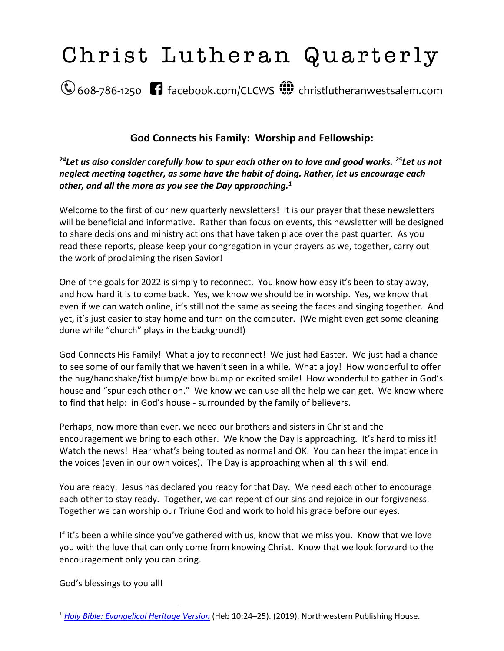

# **God Connects his Family: Worship and Fellowship:**

*<sup>24</sup>Let us also consider carefully how to spur each other on to love and good works. <sup>25</sup>Let us not neglect meeting together, as some have the habit of doing. Rather, let us encourage each other, and all the more as you see the Day approaching.<sup>1</sup>*

Welcome to the first of our new quarterly newsletters! It is our prayer that these newsletters will be beneficial and informative. Rather than focus on events, this newsletter will be designed to share decisions and ministry actions that have taken place over the past quarter. As you read these reports, please keep your congregation in your prayers as we, together, carry out the work of proclaiming the risen Savior!

One of the goals for 2022 is simply to reconnect. You know how easy it's been to stay away, and how hard it is to come back. Yes, we know we should be in worship. Yes, we know that even if we can watch online, it's still not the same as seeing the faces and singing together. And yet, it's just easier to stay home and turn on the computer. (We might even get some cleaning done while "church" plays in the background!)

God Connects His Family! What a joy to reconnect! We just had Easter. We just had a chance to see some of our family that we haven't seen in a while. What a joy! How wonderful to offer the hug/handshake/fist bump/elbow bump or excited smile! How wonderful to gather in God's house and "spur each other on." We know we can use all the help we can get. We know where to find that help: in God's house - surrounded by the family of believers.

Perhaps, now more than ever, we need our brothers and sisters in Christ and the encouragement we bring to each other. We know the Day is approaching. It's hard to miss it! Watch the news! Hear what's being touted as normal and OK. You can hear the impatience in the voices (even in our own voices). The Day is approaching when all this will end.

You are ready. Jesus has declared you ready for that Day. We need each other to encourage each other to stay ready. Together, we can repent of our sins and rejoice in our forgiveness. Together we can worship our Triune God and work to hold his grace before our eyes.

If it's been a while since you've gathered with us, know that we miss you. Know that we love you with the love that can only come from knowing Christ. Know that we look forward to the encouragement only you can bring.

God's blessings to you all!

<sup>1</sup> *[Holy Bible: Evangelical Heritage Version](https://ref.ly/logosres/hbehv?ref=BibleEHV.Heb10.24&off=23&ctx=Not+Keep+On+Sinning%0a~24%EF%BB%BFLet+us+also+consi)* (Heb 10:24–25). (2019). Northwestern Publishing House.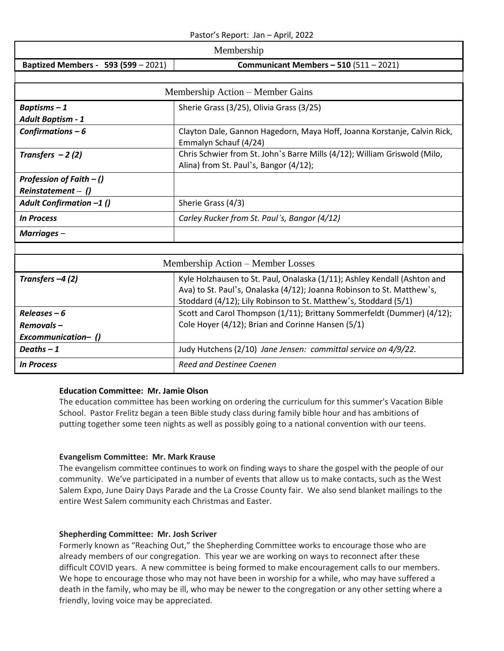#### Pastor's Report: Jan – April, 2022

| Membership                                          |                                                                                                                                                                                                                       |  |  |  |  |
|-----------------------------------------------------|-----------------------------------------------------------------------------------------------------------------------------------------------------------------------------------------------------------------------|--|--|--|--|
| Baptized Members - 593 (599 - 2021)                 | Communicant Members $-510$ (511 $-2021$ )                                                                                                                                                                             |  |  |  |  |
|                                                     |                                                                                                                                                                                                                       |  |  |  |  |
|                                                     | Membership Action - Member Gains                                                                                                                                                                                      |  |  |  |  |
| Baptisms-1                                          | Sherie Grass (3/25), Olivia Grass (3/25)                                                                                                                                                                              |  |  |  |  |
| <b>Adult Baptism - 1</b>                            |                                                                                                                                                                                                                       |  |  |  |  |
| Confirmations $-6$                                  | Clayton Dale, Gannon Hagedorn, Maya Hoff, Joanna Korstanje, Calvin Rick,<br>Emmalyn Schauf (4/24)                                                                                                                     |  |  |  |  |
| Transfers $-2(2)$                                   | Chris Schwier from St. John's Barre Mills (4/12); William Griswold (Milo,<br>Alina) from St. Paul's, Bangor (4/12);                                                                                                   |  |  |  |  |
| Profession of Faith $-$ ()<br>$Reinstantement - ()$ |                                                                                                                                                                                                                       |  |  |  |  |
| Adult Confirmation -1 ()                            | Sherie Grass (4/3)                                                                                                                                                                                                    |  |  |  |  |
| <b>In Process</b>                                   | Carley Rucker from St. Paul's, Bangor (4/12)                                                                                                                                                                          |  |  |  |  |
| Marriages-                                          |                                                                                                                                                                                                                       |  |  |  |  |
|                                                     |                                                                                                                                                                                                                       |  |  |  |  |
|                                                     | Membership Action – Member Losses                                                                                                                                                                                     |  |  |  |  |
| Transfers $-4(2)$                                   | Kyle Holzhausen to St. Paul, Onalaska (1/11); Ashley Kendall (Ashton and<br>Ava) to St. Paul's, Onalaska (4/12); Joanna Robinson to St. Matthew's,<br>Stoddard (4/12); Lily Robinson to St. Matthew's, Stoddard (5/1) |  |  |  |  |
| $Releases - 6$                                      | Scott and Carol Thompson (1/11); Brittany Sommerfeldt (Dummer) (4/12);                                                                                                                                                |  |  |  |  |
| Removals-                                           | Cole Hoyer (4/12); Brian and Corinne Hansen (5/1)                                                                                                                                                                     |  |  |  |  |
| Excommunication-()                                  |                                                                                                                                                                                                                       |  |  |  |  |
| Deaths $-1$                                         | Judy Hutchens (2/10) Jane Jensen: committal service on 4/9/22.                                                                                                                                                        |  |  |  |  |
| <b>In Process</b>                                   | <b>Reed and Destinee Coenen</b>                                                                                                                                                                                       |  |  |  |  |

#### **Education Committee: Mr. Jamie Olson**

The education committee has been working on ordering the curriculum for this summer's Vacation Bible School. Pastor Frelitz began a teen Bible study class during family bible hour and has ambitions of putting together some teen nights as well as possibly going to a national convention with our teens.

#### **Evangelism Committee: Mr. Mark Krause**

The evangelism committee continues to work on finding ways to share the gospel with the people of our community. We've participated in a number of events that allow us to make contacts, such as the West Salem Expo, June Dairy Days Parade and the La Crosse County fair. We also send blanket mailings to the entire West Salem community each Christmas and Easter.

#### **Shepherding Committee: Mr. Josh Scriver**

Formerly known as "Reaching Out," the Shepherding Committee works to encourage those who are already members of our congregation. This year we are working on ways to reconnect after these difficult COVID years. A new committee is being formed to make encouragement calls to our members. We hope to encourage those who may not have been in worship for a while, who may have suffered a death in the family, who may be ill, who may be newer to the congregation or any other setting where a friendly, loving voice may be appreciated.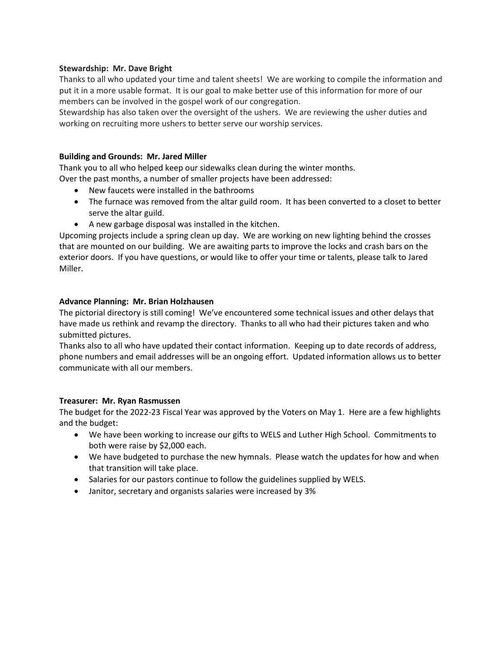#### **Stewardship: Mr. Dave Bright**

Thanks to all who updated your time and talent sheets! We are working to compile the information and put it in a more usable format. It is our goal to make better use of this information for more of our members can be involved in the gospel work of our congregation.

Stewardship has also taken over the oversight of the ushers. We are reviewing the usher duties and working on recruiting more ushers to better serve our worship services.

#### **Building and Grounds: Mr. Jared Miller**

Thank you to all who helped keep our sidewalks clean during the winter months.

Over the past months, a number of smaller projects have been addressed:

- New faucets were installed in the bathrooms
- The furnace was removed from the altar guild room. It has been converted to a closet to better serve the altar guild.
- A new garbage disposal was installed in the kitchen.

Upcoming projects include a spring clean up day. We are working on new lighting behind the crosses that are mounted on our building. We are awaiting parts to improve the locks and crash bars on the exterior doors. If you have questions, or would like to offer your time or talents, please talk to Jared Miller.

#### **Advance Planning: Mr. Brian Holzhausen**

The pictorial directory is still coming! We've encountered some technical issues and other delays that have made us rethink and revamp the directory. Thanks to all who had their pictures taken and who submitted pictures.

Thanks also to all who have updated their contact information. Keeping up to date records of address, phone numbers and email addresses will be an ongoing effort. Updated information allows us to better communicate with all our members.

#### **Treasurer: Mr. Ryan Rasmussen**

The budget for the 2022-23 Fiscal Year was approved by the Voters on May 1. Here are a few highlights and the budget:

- We have been working to increase our gifts to WELS and Luther High School. Commitments to both were raise by \$2,000 each.
- We have budgeted to purchase the new hymnals. Please watch the updates for how and when that transition will take place.
- Salaries for our pastors continue to follow the guidelines supplied by WELS.
- Janitor, secretary and organists salaries were increased by 3%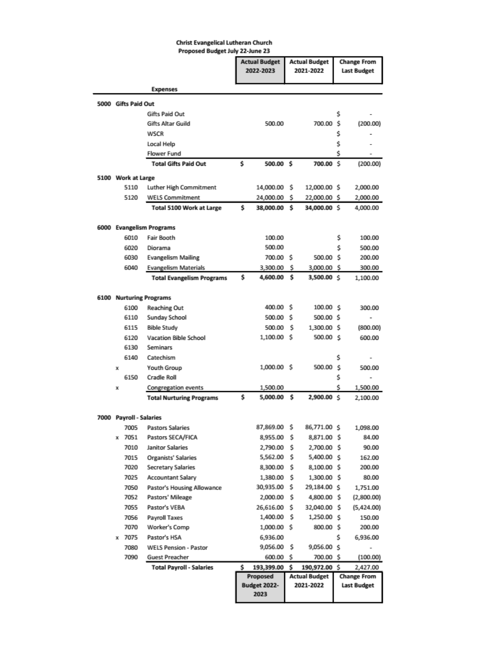#### **Christ Evangelical Lutheran Church** Proposed Budget July 22-June 23

|                         |                                  |     | <b>Actual Budget</b><br>2022-2023 | <b>Actual Budget</b><br>2021-2022 |                                       | <b>Change From</b><br>Last Budget |                                |
|-------------------------|----------------------------------|-----|-----------------------------------|-----------------------------------|---------------------------------------|-----------------------------------|--------------------------------|
|                         | <b>Expenses</b>                  |     |                                   |                                   |                                       |                                   |                                |
| 5000 Gifts Paid Out     |                                  |     |                                   |                                   |                                       |                                   |                                |
|                         | Gifts Paid Out                   |     |                                   |                                   |                                       | \$                                |                                |
|                         | Gifts Altar Guild                |     | 500.00                            |                                   | 700.00                                | s                                 | (200.00)                       |
|                         | WSCR                             |     |                                   |                                   |                                       | \$                                |                                |
|                         | Local Help                       |     |                                   |                                   |                                       | \$                                |                                |
|                         | <b>Flower Fund</b>               |     |                                   |                                   |                                       | \$                                |                                |
|                         | <b>Total Gifts Paid Out</b>      | \$  | 500.00 \$                         |                                   | 700.00 S                              |                                   | (200.00)                       |
| 5100 Work at Large      |                                  |     |                                   |                                   |                                       |                                   |                                |
| 5110                    | Luther High Commitment           |     | 14,000.00                         | s                                 | 12,000.00 \$                          |                                   | 2,000.00                       |
| 5120                    | <b>WELS Commitment</b>           |     | 24,000.00                         | s                                 | 22,000.00 \$                          |                                   | 2,000.00                       |
|                         | Total 5100 Work at Large         | \$. | 38,000.00 \$                      |                                   | 34,000.00 S                           |                                   | 4,000.00                       |
|                         | 6000 Evangelism Programs         |     |                                   |                                   |                                       |                                   |                                |
| 6010                    | <b>Fair Booth</b>                |     | 100.00                            |                                   |                                       | \$                                | 100.00                         |
| 6020                    | Diorama                          |     | 500.00                            |                                   |                                       | Ś                                 | 500.00                         |
| 6030                    | <b>Evangelism Mailing</b>        |     | 700.00 S                          |                                   | 500.00 S                              |                                   | 200.00                         |
| 6040                    | <b>Evangelism Materials</b>      |     | 3,300.00                          | s                                 | 3,000.00 \$                           |                                   | 300.00                         |
|                         | <b>Total Evangelism Programs</b> | \$  | 4,600.00                          | Ŝ.                                | 3,500.00 S                            |                                   | 1,100.00                       |
|                         | 6100 Nurturing Programs          |     |                                   |                                   |                                       |                                   |                                |
| 6100                    | Reaching Out                     |     | 400.00 S                          |                                   | 100.00 S                              |                                   | 300.00                         |
| 6110                    | Sunday School                    |     | 500.00 \$                         |                                   | 500.00 \$                             |                                   |                                |
| 6115                    | <b>Bible Study</b>               |     | 500.00                            | s                                 | 1,300.00 \$                           |                                   | (800.00)                       |
| 6120                    | Vacation Bible School            |     | 1,100.00 \$                       |                                   | 500.00 S                              |                                   | 600.00                         |
| 6130                    | Seminars                         |     |                                   |                                   |                                       |                                   |                                |
| 6140                    | Catechism                        |     |                                   |                                   |                                       | s                                 |                                |
| x                       | Youth Group                      |     | 1,000.00 \$                       |                                   | 500.00                                | s                                 | 500.00                         |
| 6150                    | Cradle Roll                      |     |                                   |                                   |                                       | \$                                |                                |
| x                       | Congregation events              |     | 1,500.00                          |                                   |                                       | Ś                                 | 1,500.00                       |
|                         | <b>Total Nurturing Programs</b>  | \$  | 5,000.00                          | Ŝ.                                | 2,900.00 \$                           |                                   | 2,100.00                       |
| 7000 Payroll - Salaries |                                  |     |                                   |                                   |                                       |                                   |                                |
| 7005                    | Pastors Salaries                 |     | 87,869.00                         | \$                                | 86,771.00 \$                          |                                   | 1,098.00                       |
| x 7051                  | Pastors SECA/FICA                |     | 8,955.00                          | s                                 | 8,871.00 \$                           |                                   | 84.00                          |
| 7010                    | <b>Janitor Salaries</b>          |     | 2,790.00                          | Ś                                 | 2,700.00 \$                           |                                   | 90.00                          |
| 7015                    | Organists' Salaries              |     | 5,562.00                          | \$                                | 5,400.00 \$                           |                                   | 162.00                         |
| 7020                    | Secretary Salaries               |     | 8,300.00                          | s                                 | 8,100.00 \$                           |                                   | 200.00                         |
| 7025                    | Accountant Salary                |     | 1,380.00                          | s                                 | 1,300.00 \$                           |                                   | 80.00                          |
| 7050                    | Pastor's Housing Allowance       |     | 30,935.00                         | s                                 | 29,184.00 \$                          |                                   | 1,751.00                       |
| 7052                    | Pastors' Mileage                 |     | 2,000.00                          | s                                 | 4,800.00 \$                           |                                   | (2,800.00)                     |
| 7055                    | Pastor's VEBA                    |     | 26,616.00                         | s                                 | 32,040.00 \$                          |                                   | (5,424.00)                     |
| 7056                    | Payroll Taxes                    |     | 1,400.00                          | s                                 | 1,250.00 \$                           |                                   | 150.00                         |
| 7070                    | Worker's Comp                    |     | 1,000.00                          | s                                 | 800.00 \$                             |                                   | 200.00                         |
| x 7075                  | Pastor's HSA                     |     | 6,936.00                          |                                   |                                       | \$                                | 6,936.00                       |
| 7080                    | <b>WELS Pension - Pastor</b>     |     | 9,056.00                          | s                                 | 9,056.00 \$                           |                                   |                                |
| 7090                    | Guest Preacher                   |     | 600.00                            | \$.                               | 700.00 \$                             |                                   | (100.00)                       |
|                         | <b>Total Payroll - Salaries</b>  | \$  | 193,399.00<br>Proposed            | Ŝ.                                | 190,972.00 \$<br><b>Actual Budget</b> |                                   | 2,427.00<br><b>Change From</b> |
|                         |                                  |     | <b>Budget 2022-</b><br>2023       |                                   | 2021-2022                             |                                   | <b>Last Budget</b>             |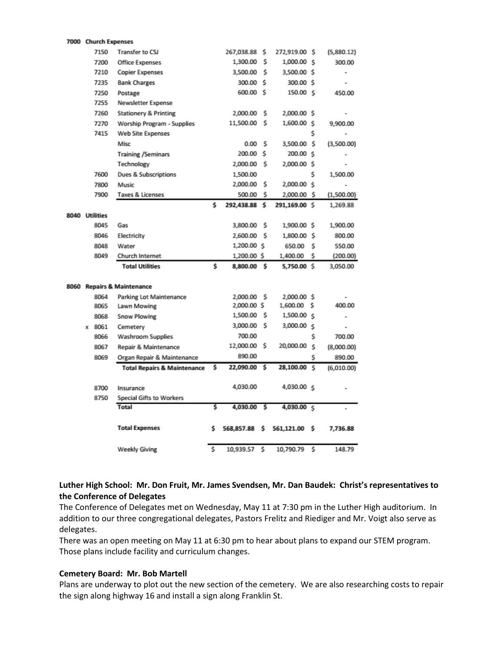|                | 7000 Church Expenses |                                        |    |             |    |               |    |                |
|----------------|----------------------|----------------------------------------|----|-------------|----|---------------|----|----------------|
|                | 7150                 | Transfer to CSJ                        |    | 267,038.88  | Ś  | 272,919.00 \$ |    | (5,880.12)     |
|                | 7200                 | Office Expenses                        |    | 1,300.00    | s  | 1,000.00 \$   |    | 300.00         |
|                | 7210                 | <b>Copier Expenses</b>                 |    | 3,500.00    | Ś  | 3,500.00 \$   |    | $\overline{a}$ |
|                | 7235                 | <b>Bank Charges</b>                    |    | 300.00      | Ś  | 300.00 \$     |    |                |
|                | 7250                 | Postage                                |    | 600.00      | Ś  | 150.00 S      |    | 450.00         |
|                | 7255                 | Newsletter Expense                     |    |             |    |               |    |                |
|                | 7260                 | <b>Stationery &amp; Printing</b>       |    | 2,000.00    | Ś  | 2,000.00 \$   |    |                |
|                | 7270                 | Worship Program - Supplies             |    | 11,500.00   | Ś  | 1,600.00      | Ŝ  | 9,900.00       |
|                | 7415                 | Web Site Expenses                      |    |             |    |               | Ś  |                |
|                |                      | Misc                                   |    | 0.00        | Ś  | 3,500.00      | -S | (3,500.00)     |
|                |                      | <b>Training /Seminars</b>              |    | 200.00      | \$ | 200.00 \$     |    |                |
|                |                      | Technology                             |    | 2,000.00    | s  | 2,000.00 S    |    |                |
|                | 7600                 | Dues & Subscriptions                   |    | 1,500.00    |    |               | Ś  | 1,500.00       |
|                | 7800                 | Music                                  |    | 2,000.00    | s  | 2,000.00 \$   |    |                |
|                | 7900                 | Taxes & Licenses                       |    | 500.00      | s  | 2,000.00      | Ŝ. | (1,500.00)     |
|                |                      |                                        | \$ | 292,438.88  | \$ | 291,169.00 \$ |    | 1,269.88       |
| 8040 Utilities |                      |                                        |    |             |    |               |    |                |
|                | 8045                 | Gas                                    |    | 3,800.00    | s  | 1,900.00 \$   |    | 1,900.00       |
|                | 8046                 | Electricity                            |    | 2,600.00    | Ś  | 1,800.00 \$   |    | 800.00         |
|                | 8048                 | Water                                  |    | 1,200.00 S  |    | 650.00        | Ś  | 550.00         |
|                | 8049                 | Church Internet                        |    | 1,200.00 \$ |    | 1,400.00      | Ś  | (200.00)       |
|                |                      | <b>Total Utilities</b>                 | \$ | 8,800.00 \$ |    | 5,750.00 \$   |    | 3,050.00       |
|                |                      |                                        |    |             |    |               |    |                |
|                |                      | 8060 Repairs & Maintenance             |    |             |    |               |    |                |
|                | 8064                 | Parking Lot Maintenance                |    | 2,000.00    | s  | 2,000.00 \$   |    |                |
|                | 8065                 | Lawn Mowing                            |    | 2,000.00 \$ |    | 1,600.00      | s  | 400.00         |
|                | 8068                 | <b>Snow Plowing</b>                    |    | 1,500.00    | s  | 1,500.00 \$   |    |                |
|                | x 8061               | Cemetery                               |    | 3,000.00    | Ś  | 3,000.00      | Ś  |                |
|                | 8066                 | <b>Washroom Supplies</b>               |    | 700.00      |    |               | \$ | 700.00         |
|                | 8067                 | Repair & Maintenance                   |    | 12,000.00   | s  | 20,000.00     | Ś  | (8,000.00)     |
|                | 8069                 | Organ Repair & Maintenance             |    | 890.00      |    |               | Ś  | 890.00         |
|                |                      | <b>Total Repairs &amp; Maintenance</b> | \$ | 22,090.00   | s  | 28,100.00     | Ś  | (6,010.00)     |
|                |                      |                                        |    |             |    |               |    |                |
|                | 8700                 | Insurance                              |    | 4,030.00    |    | 4,030.00 \$   |    |                |
|                | 8750                 | <b>Special Gifts to Workers</b>        |    |             |    |               |    |                |
|                |                      | Total                                  | \$ | 4,030.00    | Ŝ  | 4,030.00 \$   |    |                |
|                |                      | <b>Total Expenses</b>                  | Ś  | 568,857.88  | s  | 561,121.00    | Ŝ  | 7,736.88       |
|                |                      | <b>Weekly Giving</b>                   | \$ | 10,939.57   | s  | 10,790.79     | s  | 148.79         |

### **Luther High School: Mr. Don Fruit, Mr. James Svendsen, Mr. Dan Baudek: Christ's representatives to the Conference of Delegates**

The Conference of Delegates met on Wednesday, May 11 at 7:30 pm in the Luther High auditorium. In addition to our three congregational delegates, Pastors Frelitz and Riediger and Mr. Voigt also serve as delegates.

There was an open meeting on May 11 at 6:30 pm to hear about plans to expand our STEM program. Those plans include facility and curriculum changes.

#### **Cemetery Board: Mr. Bob Martell**

Plans are underway to plot out the new section of the cemetery. We are also researching costs to repair the sign along highway 16 and install a sign along Franklin St.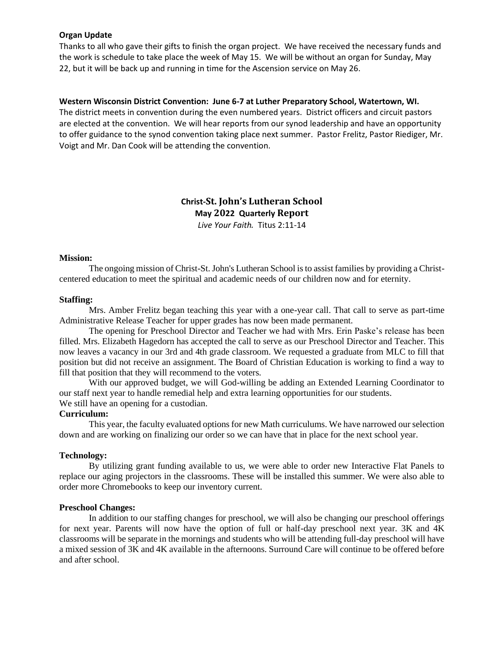#### **Organ Update**

Thanks to all who gave their gifts to finish the organ project. We have received the necessary funds and the work is schedule to take place the week of May 15. We will be without an organ for Sunday, May 22, but it will be back up and running in time for the Ascension service on May 26.

#### **Western Wisconsin District Convention: June 6-7 at Luther Preparatory School, Watertown, WI.**

The district meets in convention during the even numbered years. District officers and circuit pastors are elected at the convention. We will hear reports from our synod leadership and have an opportunity to offer guidance to the synod convention taking place next summer. Pastor Frelitz, Pastor Riediger, Mr. Voigt and Mr. Dan Cook will be attending the convention.

# **Christ-St. John's Lutheran School May 2022 Quarterly Report** *Live Your Faith.* Titus 2:11-14

#### **Mission:**

The ongoing mission of Christ-St. John's Lutheran School is to assist families by providing a Christcentered education to meet the spiritual and academic needs of our children now and for eternity.

#### **Staffing:**

Mrs. Amber Frelitz began teaching this year with a one-year call. That call to serve as part-time Administrative Release Teacher for upper grades has now been made permanent.

The opening for Preschool Director and Teacher we had with Mrs. Erin Paske's release has been filled. Mrs. Elizabeth Hagedorn has accepted the call to serve as our Preschool Director and Teacher. This now leaves a vacancy in our 3rd and 4th grade classroom. We requested a graduate from MLC to fill that position but did not receive an assignment. The Board of Christian Education is working to find a way to fill that position that they will recommend to the voters.

With our approved budget, we will God-willing be adding an Extended Learning Coordinator to our staff next year to handle remedial help and extra learning opportunities for our students. We still have an opening for a custodian.

#### **Curriculum:**

This year, the faculty evaluated options for new Math curriculums. We have narrowed our selection down and are working on finalizing our order so we can have that in place for the next school year.

#### **Technology:**

By utilizing grant funding available to us, we were able to order new Interactive Flat Panels to replace our aging projectors in the classrooms. These will be installed this summer. We were also able to order more Chromebooks to keep our inventory current.

#### **Preschool Changes:**

In addition to our staffing changes for preschool, we will also be changing our preschool offerings for next year. Parents will now have the option of full or half-day preschool next year. 3K and 4K classrooms will be separate in the mornings and students who will be attending full-day preschool will have a mixed session of 3K and 4K available in the afternoons. Surround Care will continue to be offered before and after school.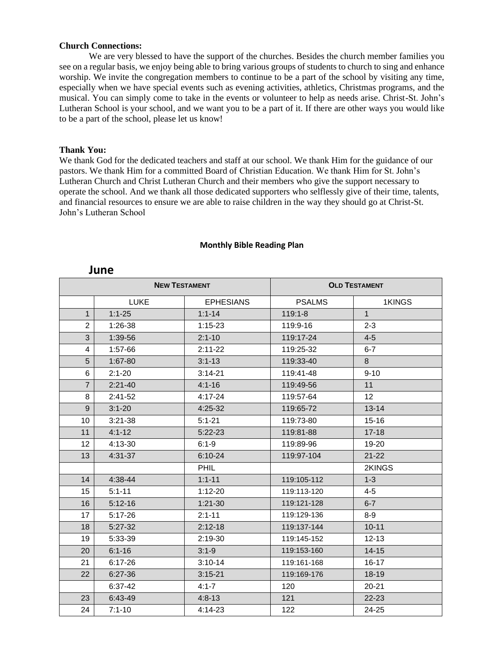#### **Church Connections:**

We are very blessed to have the support of the churches. Besides the church member families you see on a regular basis, we enjoy being able to bring various groups of students to church to sing and enhance worship. We invite the congregation members to continue to be a part of the school by visiting any time, especially when we have special events such as evening activities, athletics, Christmas programs, and the musical. You can simply come to take in the events or volunteer to help as needs arise. Christ-St. John's Lutheran School is your school, and we want you to be a part of it. If there are other ways you would like to be a part of the school, please let us know!

#### **Thank You:**

We thank God for the dedicated teachers and staff at our school. We thank Him for the guidance of our pastors. We thank Him for a committed Board of Christian Education. We thank Him for St. John's Lutheran Church and Christ Lutheran Church and their members who give the support necessary to operate the school. And we thank all those dedicated supporters who selflessly give of their time, talents, and financial resources to ensure we are able to raise children in the way they should go at Christ-St. John's Lutheran School

| <b>NEW TESTAMENT</b> |             |                  | <b>OLD TESTAMENT</b> |              |  |  |
|----------------------|-------------|------------------|----------------------|--------------|--|--|
|                      | <b>LUKE</b> | <b>EPHESIANS</b> | <b>PSALMS</b>        | 1KINGS       |  |  |
| $\mathbf{1}$         | $1:1 - 25$  | $1:1 - 14$       | $119:1 - 8$          | $\mathbf{1}$ |  |  |
| $\overline{2}$       | $1:26-38$   | $1:15-23$        | 119:9-16             | $2 - 3$      |  |  |
| 3                    | 1:39-56     | $2:1 - 10$       | 119:17-24            | $4 - 5$      |  |  |
| 4                    | 1:57-66     | $2:11-22$        | 119:25-32            | $6 - 7$      |  |  |
| 5                    | $1:67-80$   | $3:1 - 13$       | 119:33-40            | 8            |  |  |
| 6                    | $2:1 - 20$  | $3:14-21$        | 119:41-48            | $9 - 10$     |  |  |
| $\overline{7}$       | $2:21-40$   | $4:1 - 16$       | 119:49-56            | 11           |  |  |
| 8                    | $2:41 - 52$ | $4:17 - 24$      | 119:57-64            | 12           |  |  |
| 9                    | $3:1 - 20$  | $4:25-32$        | 119:65-72            | $13 - 14$    |  |  |
| 10                   | $3:21 - 38$ | $5:1 - 21$       | 119:73-80            | $15 - 16$    |  |  |
| 11                   | $4:1 - 12$  | $5:22-23$        | 119:81-88            | $17 - 18$    |  |  |
| 12 <sup>2</sup>      | $4:13-30$   | $6:1-9$          | 119:89-96            | $19 - 20$    |  |  |
| 13                   | $4:31-37$   | $6:10-24$        | 119:97-104           | $21 - 22$    |  |  |
|                      |             | <b>PHIL</b>      |                      | 2KINGS       |  |  |
| 14                   | 4:38-44     | $1:1 - 11$       | 119:105-112          | $1 - 3$      |  |  |
| 15                   | $5:1 - 11$  | $1:12 - 20$      | 119:113-120          | $4 - 5$      |  |  |
| 16                   | $5:12-16$   | $1:21-30$        | 119:121-128          | $6 - 7$      |  |  |
| 17                   | $5:17-26$   | $2:1 - 11$       | 119:129-136          | $8-9$        |  |  |
| 18                   | $5:27-32$   | $2:12 - 18$      | 119:137-144          | $10 - 11$    |  |  |
| 19                   | 5:33-39     | 2:19-30          | 119:145-152          | $12 - 13$    |  |  |
| 20                   | $6:1 - 16$  | $3:1 - 9$        | 119:153-160          | $14 - 15$    |  |  |
| 21                   | $6:17 - 26$ | $3:10-14$        | 119:161-168          | $16 - 17$    |  |  |
| 22                   | $6:27-36$   | $3:15 - 21$      | 119:169-176          | $18 - 19$    |  |  |
|                      | $6:37-42$   | $4:1 - 7$        | 120                  | $20 - 21$    |  |  |
| 23                   | 6:43-49     | $4:8 - 13$       | 121                  | $22 - 23$    |  |  |
| 24                   | $7:1 - 10$  | 4:14-23          | 122                  | 24-25        |  |  |

#### **Monthly Bible Reading Plan**

# **June**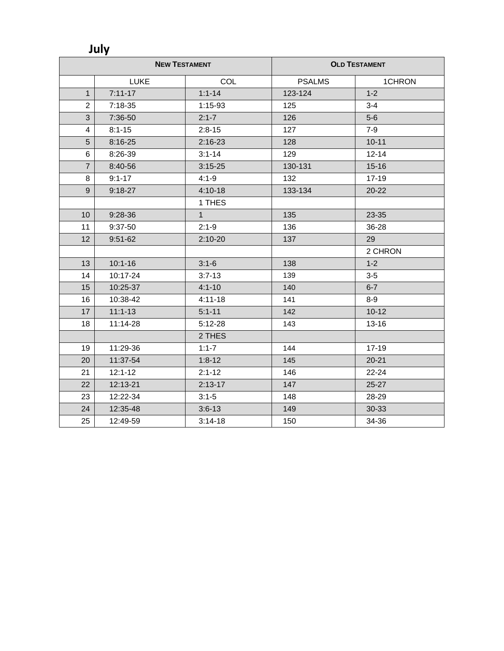**July**

| <b>NEW TESTAMENT</b> |             | <b>OLD TESTAMENT</b> |               |           |  |
|----------------------|-------------|----------------------|---------------|-----------|--|
|                      | <b>LUKE</b> | COL                  | <b>PSALMS</b> | 1CHRON    |  |
| $\mathbf{1}$         | $7:11 - 17$ | $1:1 - 14$           | 123-124       | $1 - 2$   |  |
| $\overline{c}$       | $7:18-35$   | $1:15-93$            | 125           | $3 - 4$   |  |
| 3                    | 7:36-50     | $2:1 - 7$            | 126           | $5-6$     |  |
| $\overline{4}$       | $8:1 - 15$  | $2:8-15$             | 127           | $7-9$     |  |
| 5                    | 8:16-25     | $2:16 - 23$          | 128           | $10 - 11$ |  |
| 6                    | 8:26-39     | $3:1 - 14$           | 129           | $12 - 14$ |  |
| $\overline{7}$       | 8:40-56     | $3:15 - 25$          | 130-131       | $15 - 16$ |  |
| 8                    | $9:1 - 17$  | $4:1 - 9$            | 132           | $17 - 19$ |  |
| 9                    | $9:18-27$   | $4:10-18$            | 133-134       | $20 - 22$ |  |
|                      |             | 1 THES               |               |           |  |
| 10                   | 9:28-36     | 1                    | 135           | 23-35     |  |
| 11                   | 9:37-50     | $2:1-9$              | 136           | 36-28     |  |
| 12                   | $9:51-62$   | $2:10-20$            | 137           | 29        |  |
|                      |             |                      |               | 2 CHRON   |  |
| 13                   | $10:1 - 16$ | $3:1-6$              | 138           | $1 - 2$   |  |
| 14                   | 10:17-24    | $3:7 - 13$           | 139           | $3-5$     |  |
| 15                   | 10:25-37    | $4:1 - 10$           | 140           | $6 - 7$   |  |
| 16                   | 10:38-42    | $4:11 - 18$          | 141           | $8-9$     |  |
| 17                   | $11:1 - 13$ | $5:1 - 11$           | 142           | $10 - 12$ |  |
| 18                   | 11:14-28    | $5:12 - 28$          | 143           | $13 - 16$ |  |
|                      |             | 2 THES               |               |           |  |
| 19                   | 11:29-36    | $1:1 - 7$            | 144           | 17-19     |  |
| 20                   | 11:37-54    | $1:8-12$             | 145           | $20 - 21$ |  |
| 21                   | $12:1 - 12$ | $2:1 - 12$           | 146           | 22-24     |  |
| 22                   | 12:13-21    | $2:13 - 17$          | 147           | 25-27     |  |
| 23                   | 12:22-34    | $3:1 - 5$            | 148           | 28-29     |  |
| 24                   | 12:35-48    | $3:6-13$             | 149           | 30-33     |  |
| 25                   | 12:49-59    | $3:14-18$            | 150           | 34-36     |  |